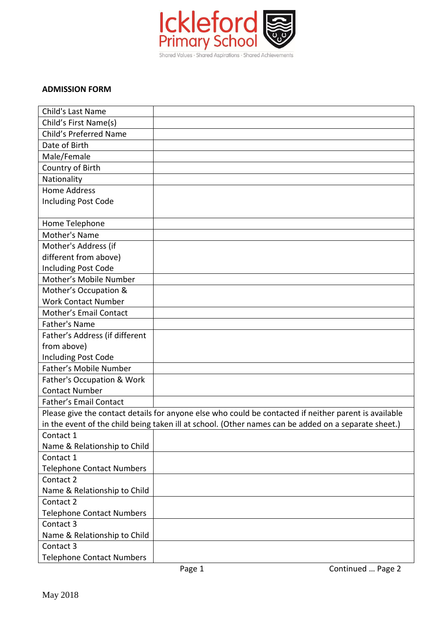

## **ADMISSION FORM**

| Child's Last Name                                                                                    |                                                                                                       |  |
|------------------------------------------------------------------------------------------------------|-------------------------------------------------------------------------------------------------------|--|
| Child's First Name(s)                                                                                |                                                                                                       |  |
| Child's Preferred Name                                                                               |                                                                                                       |  |
| Date of Birth                                                                                        |                                                                                                       |  |
| Male/Female                                                                                          |                                                                                                       |  |
| Country of Birth                                                                                     |                                                                                                       |  |
| Nationality                                                                                          |                                                                                                       |  |
| <b>Home Address</b>                                                                                  |                                                                                                       |  |
| <b>Including Post Code</b>                                                                           |                                                                                                       |  |
|                                                                                                      |                                                                                                       |  |
| Home Telephone                                                                                       |                                                                                                       |  |
| Mother's Name                                                                                        |                                                                                                       |  |
| Mother's Address (if                                                                                 |                                                                                                       |  |
| different from above)                                                                                |                                                                                                       |  |
| Including Post Code                                                                                  |                                                                                                       |  |
| Mother's Mobile Number                                                                               |                                                                                                       |  |
| Mother's Occupation &                                                                                |                                                                                                       |  |
| <b>Work Contact Number</b>                                                                           |                                                                                                       |  |
| Mother's Email Contact                                                                               |                                                                                                       |  |
| Father's Name                                                                                        |                                                                                                       |  |
| Father's Address (if different                                                                       |                                                                                                       |  |
| from above)                                                                                          |                                                                                                       |  |
| <b>Including Post Code</b>                                                                           |                                                                                                       |  |
| Father's Mobile Number                                                                               |                                                                                                       |  |
| Father's Occupation & Work                                                                           |                                                                                                       |  |
| <b>Contact Number</b>                                                                                |                                                                                                       |  |
| Father's Email Contact                                                                               |                                                                                                       |  |
|                                                                                                      | Please give the contact details for anyone else who could be contacted if neither parent is available |  |
| in the event of the child being taken ill at school. (Other names can be added on a separate sheet.) |                                                                                                       |  |
| Contact 1                                                                                            |                                                                                                       |  |
| Name & Relationship to Child                                                                         |                                                                                                       |  |
| Contact 1                                                                                            |                                                                                                       |  |
| <b>Telephone Contact Numbers</b>                                                                     |                                                                                                       |  |
| Contact 2                                                                                            |                                                                                                       |  |
| Name & Relationship to Child                                                                         |                                                                                                       |  |
| Contact 2                                                                                            |                                                                                                       |  |
| <b>Telephone Contact Numbers</b>                                                                     |                                                                                                       |  |
| Contact 3                                                                                            |                                                                                                       |  |
| Name & Relationship to Child                                                                         |                                                                                                       |  |
| Contact 3                                                                                            |                                                                                                       |  |
| <b>Telephone Contact Numbers</b>                                                                     |                                                                                                       |  |